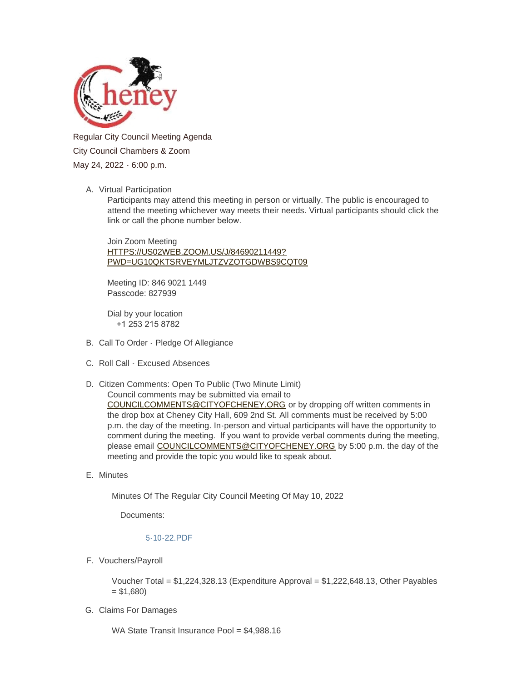

Regular City Council Meeting Agenda City Council Chambers & Zoom May 24, 2022 - 6:00 p.m.

## A. Virtual Participation

Participants may attend this meeting in person or virtually. The public is encouraged to attend the meeting whichever way meets their needs. Virtual participants should click the link or call the phone number below.

Join Zoom Meeting HTTPS://US02WEB.ZOOM.US/J/84690211449? [PWD=UG10QKTSRVEYMLJTZVZOTGDWBS9CQT09](https://us02web.zoom.us/j/84690211449?pwd=UG10QktsRVEyMlJTZVZoTGdwbS9CQT09)

Meeting ID: 846 9021 1449 Passcode: 827939

Dial by your location +1 253 215 8782

- B. Call To Order Pledge Of Allegiance
- C. Roll Call Excused Absences
- D. Citizen Comments: Open To Public (Two Minute Limit) [Council comments may be submitted via email t](mailto:councilcomments@cityofcheney.org)o COUNCILCOMMENTS@CITYOFCHENEY.ORG or by dropping off written comments in the drop box at Cheney City Hall, 609 2nd St. All comments must be received by 5:00 p.m. the day of the meeting. In-person and virtual participants will have the opportunity to comment during the meeting. If you want to provide verbal comments during the meeting, please email [COUNCILCOMMENTS@CITYOFCHENEY.ORG](mailto:councilcomments@cityofcheney.org) by 5:00 p.m. the day of the meeting and provide the topic you would like to speak about.
- E. Minutes

Minutes Of The Regular City Council Meeting Of May 10, 2022

Documents:

## [5-10-22.PDF](https://www.cityofcheney.org/AgendaCenter/ViewFile/Item/3972?fileID=8654)

F. Vouchers/Payroll

Voucher Total = \$1,224,328.13 (Expenditure Approval = \$1,222,648.13, Other Payables  $= $1,680$ 

Claims For Damages G.

WA State Transit Insurance Pool = \$4,988.16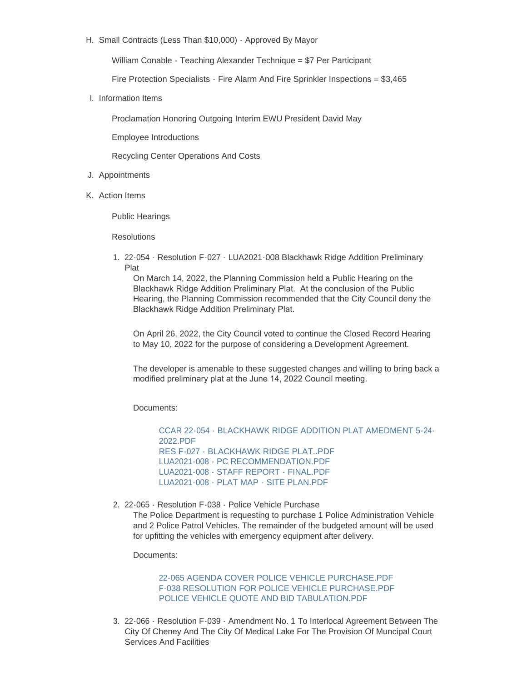H. Small Contracts (Less Than \$10,000) - Approved By Mayor

William Conable - Teaching Alexander Technique = \$7 Per Participant

Fire Protection Specialists - Fire Alarm And Fire Sprinkler Inspections = \$3,465

I. Information Items

Proclamation Honoring Outgoing Interim EWU President David May

Employee Introductions

Recycling Center Operations And Costs

- J. Appointments
- K. Action Items

Public Hearings

**Resolutions** 

22-054 - Resolution F-027 - LUA2021-008 Blackhawk Ridge Addition Preliminary 1. Plat

On March 14, 2022, the Planning Commission held a Public Hearing on the Blackhawk Ridge Addition Preliminary Plat. At the conclusion of the Public Hearing, the Planning Commission recommended that the City Council deny the Blackhawk Ridge Addition Preliminary Plat.

On April 26, 2022, the City Council voted to continue the Closed Record Hearing to May 10, 2022 for the purpose of considering a Development Agreement.

The developer is amenable to these suggested changes and willing to bring back a modified preliminary plat at the June 14, 2022 Council meeting.

Documents:

[CCAR 22-054 - BLACKHAWK RIDGE ADDITION PLAT AMEDMENT 5-24-](https://www.cityofcheney.org/AgendaCenter/ViewFile/Item/3970?fileID=8655) 2022.PDF [RES F-027 - BLACKHAWK RIDGE PLAT..PDF](https://www.cityofcheney.org/AgendaCenter/ViewFile/Item/3970?fileID=8648) [LUA2021-008 - PC RECOMMENDATION.PDF](https://www.cityofcheney.org/AgendaCenter/ViewFile/Item/3970?fileID=8649) [LUA2021-008 - STAFF REPORT - FINAL.PDF](https://www.cityofcheney.org/AgendaCenter/ViewFile/Item/3970?fileID=8650) [LUA2021-008 - PLAT MAP - SITE PLAN.PDF](https://www.cityofcheney.org/AgendaCenter/ViewFile/Item/3970?fileID=8651)

2. 22-065 - Resolution F-038 - Police Vehicle Purchase The Police Department is requesting to purchase 1 Police Administration Vehicle and 2 Police Patrol Vehicles. The remainder of the budgeted amount will be used for upfitting the vehicles with emergency equipment after delivery.

Documents:

[22-065 AGENDA COVER POLICE VEHICLE PURCHASE.PDF](https://www.cityofcheney.org/AgendaCenter/ViewFile/Item/3944?fileID=8643) [F-038 RESOLUTION FOR POLICE VEHICLE PURCHASE.PDF](https://www.cityofcheney.org/AgendaCenter/ViewFile/Item/3944?fileID=8644) [POLICE VEHICLE QUOTE AND BID TABULATION.PDF](https://www.cityofcheney.org/AgendaCenter/ViewFile/Item/3944?fileID=8645)

22-066 - Resolution F-039 - Amendment No. 1 To Interlocal Agreement Between The 3. City Of Cheney And The City Of Medical Lake For The Provision Of Muncipal Court Services And Facilities